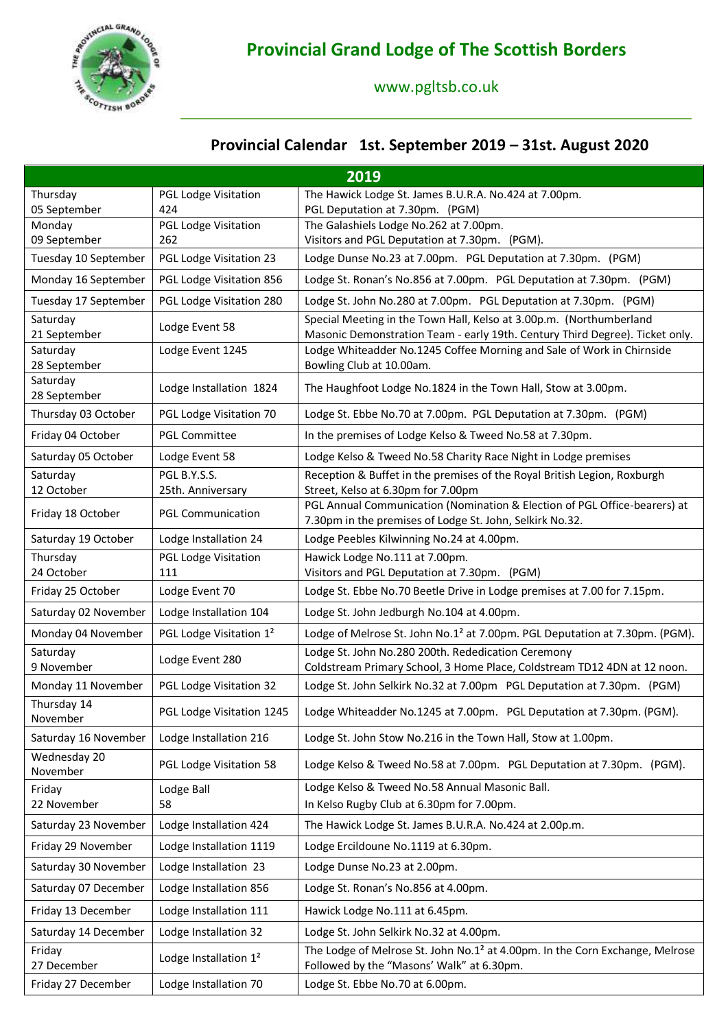

## www.pgltsb.co.uk

## **Provincial Calendar 1st. September 2019 – 31st. August 2020**

| 2019                                 |                                     |                                                                                                                                       |  |
|--------------------------------------|-------------------------------------|---------------------------------------------------------------------------------------------------------------------------------------|--|
| Thursday                             | <b>PGL Lodge Visitation</b>         | The Hawick Lodge St. James B.U.R.A. No.424 at 7.00pm.                                                                                 |  |
| 05 September                         | 424                                 | PGL Deputation at 7.30pm. (PGM)                                                                                                       |  |
| Monday                               | PGL Lodge Visitation<br>262         | The Galashiels Lodge No.262 at 7.00pm.<br>Visitors and PGL Deputation at 7.30pm. (PGM).                                               |  |
| 09 September<br>Tuesday 10 September | PGL Lodge Visitation 23             | Lodge Dunse No.23 at 7.00pm. PGL Deputation at 7.30pm. (PGM)                                                                          |  |
| Monday 16 September                  | PGL Lodge Visitation 856            | Lodge St. Ronan's No.856 at 7.00pm. PGL Deputation at 7.30pm. (PGM)                                                                   |  |
| Tuesday 17 September                 | PGL Lodge Visitation 280            | Lodge St. John No.280 at 7.00pm. PGL Deputation at 7.30pm. (PGM)                                                                      |  |
| Saturday                             |                                     | Special Meeting in the Town Hall, Kelso at 3.00p.m. (Northumberland                                                                   |  |
| 21 September                         | Lodge Event 58                      | Masonic Demonstration Team - early 19th. Century Third Degree). Ticket only.                                                          |  |
| Saturday<br>28 September             | Lodge Event 1245                    | Lodge Whiteadder No.1245 Coffee Morning and Sale of Work in Chirnside<br>Bowling Club at 10.00am.                                     |  |
| Saturday<br>28 September             | Lodge Installation 1824             | The Haughfoot Lodge No.1824 in the Town Hall, Stow at 3.00pm.                                                                         |  |
| Thursday 03 October                  | PGL Lodge Visitation 70             | Lodge St. Ebbe No.70 at 7.00pm. PGL Deputation at 7.30pm. (PGM)                                                                       |  |
| Friday 04 October                    | <b>PGL Committee</b>                | In the premises of Lodge Kelso & Tweed No.58 at 7.30pm.                                                                               |  |
| Saturday 05 October                  | Lodge Event 58                      | Lodge Kelso & Tweed No.58 Charity Race Night in Lodge premises                                                                        |  |
| Saturday                             | PGL B.Y.S.S.                        | Reception & Buffet in the premises of the Royal British Legion, Roxburgh                                                              |  |
| 12 October                           | 25th. Anniversary                   | Street, Kelso at 6.30pm for 7.00pm<br>PGL Annual Communication (Nomination & Election of PGL Office-bearers) at                       |  |
| Friday 18 October                    | <b>PGL Communication</b>            | 7.30pm in the premises of Lodge St. John, Selkirk No.32.                                                                              |  |
| Saturday 19 October                  | Lodge Installation 24               | Lodge Peebles Kilwinning No.24 at 4.00pm.                                                                                             |  |
| Thursday                             | <b>PGL Lodge Visitation</b>         | Hawick Lodge No.111 at 7.00pm.                                                                                                        |  |
| 24 October                           | 111                                 | Visitors and PGL Deputation at 7.30pm. (PGM)                                                                                          |  |
| Friday 25 October                    | Lodge Event 70                      | Lodge St. Ebbe No.70 Beetle Drive in Lodge premises at 7.00 for 7.15pm.                                                               |  |
| Saturday 02 November                 | Lodge Installation 104              | Lodge St. John Jedburgh No.104 at 4.00pm.                                                                                             |  |
| Monday 04 November                   | PGL Lodge Visitation 1 <sup>2</sup> | Lodge of Melrose St. John No.1 <sup>2</sup> at 7.00pm. PGL Deputation at 7.30pm. (PGM).                                               |  |
| Saturday<br>9 November               | Lodge Event 280                     | Lodge St. John No.280 200th. Rededication Ceremony<br>Coldstream Primary School, 3 Home Place, Coldstream TD12 4DN at 12 noon.        |  |
| Monday 11 November                   | PGL Lodge Visitation 32             | Lodge St. John Selkirk No.32 at 7.00pm PGL Deputation at 7.30pm. (PGM)                                                                |  |
| Thursday 14<br>November              | PGL Lodge Visitation 1245           | Lodge Whiteadder No.1245 at 7.00pm. PGL Deputation at 7.30pm. (PGM).                                                                  |  |
| Saturday 16 November                 | Lodge Installation 216              | Lodge St. John Stow No.216 in the Town Hall, Stow at 1.00pm.                                                                          |  |
| Wednesday 20<br>November             | PGL Lodge Visitation 58             | Lodge Kelso & Tweed No.58 at 7.00pm. PGL Deputation at 7.30pm. (PGM).                                                                 |  |
| Friday                               | Lodge Ball                          | Lodge Kelso & Tweed No.58 Annual Masonic Ball.                                                                                        |  |
| 22 November                          | 58                                  | In Kelso Rugby Club at 6.30pm for 7.00pm.                                                                                             |  |
| Saturday 23 November                 | Lodge Installation 424              | The Hawick Lodge St. James B.U.R.A. No.424 at 2.00p.m.                                                                                |  |
| Friday 29 November                   | Lodge Installation 1119             | Lodge Ercildoune No.1119 at 6.30pm.                                                                                                   |  |
| Saturday 30 November                 | Lodge Installation 23               | Lodge Dunse No.23 at 2.00pm.                                                                                                          |  |
| Saturday 07 December                 | Lodge Installation 856              | Lodge St. Ronan's No.856 at 4.00pm.                                                                                                   |  |
| Friday 13 December                   | Lodge Installation 111              | Hawick Lodge No.111 at 6.45pm.                                                                                                        |  |
| Saturday 14 December                 | Lodge Installation 32               | Lodge St. John Selkirk No.32 at 4.00pm.                                                                                               |  |
| Friday<br>27 December                | Lodge Installation 1 <sup>2</sup>   | The Lodge of Melrose St. John No.1 <sup>2</sup> at 4.00pm. In the Corn Exchange, Melrose<br>Followed by the "Masons' Walk" at 6.30pm. |  |
| Friday 27 December                   | Lodge Installation 70               | Lodge St. Ebbe No.70 at 6.00pm.                                                                                                       |  |